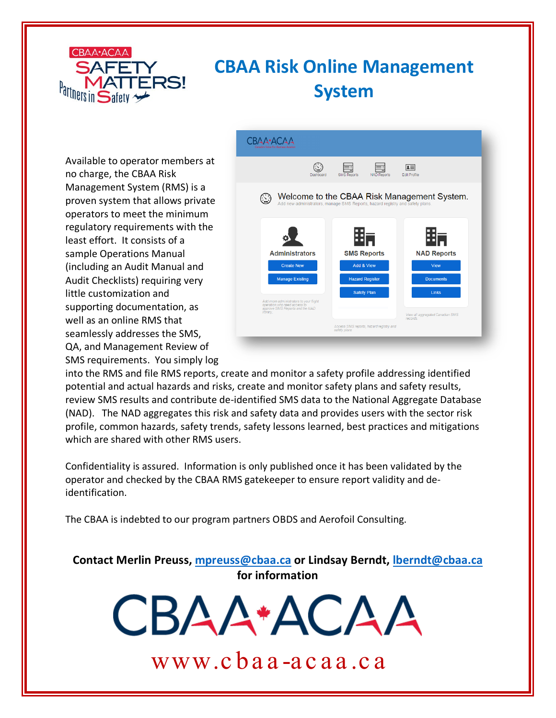

# **CBAA Risk Online Management System**

Available to operator members at no charge, the CBAA Risk Management System (RMS) is a proven system that allows private operators to meet the minimum regulatory requirements with the least effort. It consists of a sample Operations Manual (including an Audit Manual and Audit Checklists) requiring very little customization and supporting documentation, as well as an online RMS that seamlessly addresses the SMS, QA, and Management Review of SMS requirements. You simply log



into the RMS and file RMS reports, create and monitor a safety profile addressing identified potential and actual hazards and risks, create and monitor safety plans and safety results, review SMS results and contribute de-identified SMS data to the National Aggregate Database (NAD). The NAD aggregates this risk and safety data and provides users with the sector risk profile, common hazards, safety trends, safety lessons learned, best practices and mitigations which are shared with other RMS users.

Confidentiality is assured. Information is only published once it has been validated by the operator and checked by the CBAA RMS gatekeeper to ensure report validity and deidentification.

The CBAA is indebted to our program partners OBDS and Aerofoil Consulting.

**Contact Merlin Preuss, [mpreuss@cbaa.ca](mailto:mpreuss@cbaa.ca) or Lindsay Berndt, [lberndt@cbaa.ca](mailto:lberndt@cbaa.ca) for information**

www.cbaa -acaa.ca

CBAA\*ACAA